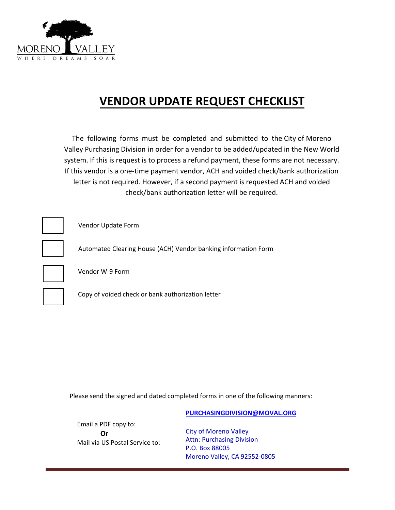

## **VENDOR UPDATE REQUEST CHECKLIST**

The following forms must be completed and submitted to the City of Moreno Valley Purchasing Division in order for a vendor to be added/updated in the New World system. If this is request is to process a refund payment, these forms are not necessary. If this vendor is a one-time payment vendor, ACH and voided check/bank authorization letter is not required. However, if a second payment is requested ACH and voided check/bank authorization letter will be required.



Vendor Update Form

Automated Clearing House (ACH) Vendor banking information Form



Vendor W-9 Form



Copy of voided check or bank authorization letter

Please send the signed and dated completed forms in one of the following manners:

**[PURCHASINGDIVISION@MOVAL.ORG](mailto:purchasingdivision@moval.org)**

Email a PDF copy to: **Or** Mail via US Postal Service to:

City of Moreno Valley Attn: Purchasing Division P.O. Box 88005 Moreno Valley, CA 92552-0805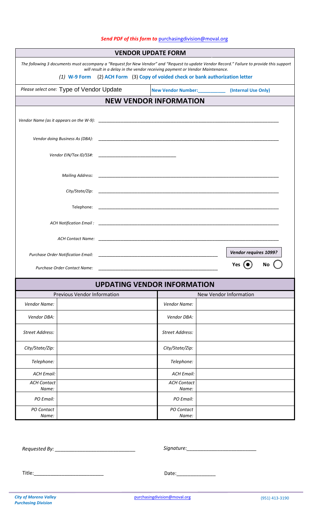## **VENDOR UPDATE FORM** *The following 3 documents must accompany a "Request for New Vendor" and "Request to update Vendor Record." Failure to provide this support will result in a delay in the vendor receiving payment or Vendor Maintenance. (1)* **W-9 Form** (2) **ACH Form** (3) **Copy of voided check or bank authorization letter** Please select one: Type of Vendor Update **New Vendor Number:** [Internal Use Only] **NEW VENDOR INFORMATION** *Vendor Name (as it appears on the W-9):* \_\_\_\_\_\_\_\_\_\_\_\_\_\_\_\_\_\_\_\_\_\_\_\_\_\_\_\_\_\_\_\_\_\_\_\_\_\_\_\_\_\_\_\_\_\_\_\_\_\_\_\_\_\_\_\_\_\_\_\_\_\_\_\_\_ *Vendor doing Business As (DBA):* \_\_\_\_\_\_\_\_\_\_\_\_\_\_\_\_\_\_\_\_\_\_\_\_\_\_\_\_\_\_\_\_\_\_\_\_\_\_\_\_\_\_\_\_\_\_\_\_\_\_\_\_\_\_\_\_\_\_\_\_\_\_\_\_\_ *Vendor EIN/Tax ID/SS#:* \_\_\_\_\_\_\_\_\_\_\_\_\_\_\_\_\_\_\_\_\_\_\_\_\_\_\_\_ *Mailing Address: City/State/Zip:* Telephone: \_\_\_\_\_\_\_\_\_\_\_\_\_\_\_\_\_\_\_\_\_\_\_\_\_\_\_\_\_\_\_\_\_\_\_\_\_\_\_\_\_\_\_\_\_\_\_\_\_\_\_\_\_\_\_\_\_\_\_\_\_\_\_\_\_ *ACH Notification Email :* \_\_\_\_\_\_\_\_\_\_\_\_\_\_\_\_\_\_\_\_\_\_\_\_\_\_\_\_\_\_\_\_\_\_\_\_\_\_\_\_\_\_\_\_\_\_\_\_\_\_\_\_\_\_\_\_\_\_\_\_\_\_\_\_\_ *ACH Contact Name:* \_\_\_\_\_\_\_\_\_\_\_\_\_\_\_\_\_\_\_\_\_\_\_\_\_\_\_\_\_\_\_\_\_\_\_\_\_\_\_\_\_\_\_\_\_\_\_\_\_\_\_\_\_\_\_\_\_\_\_\_\_\_\_\_\_ Purchase Order Notification Email: Purchase Order Contact Name: **UPDATING VENDOR INFORMATION** Previous Vendor Information New Vendor Information *Vendor Name: Vendor Name: Vendor DBA: Vendor DBA: Street Address: Street Address: City/State/Zip: City/State/Zip: Telephone: Telephone: ACH Email: ACH Email: ACH Contact Name: ACH Contact Name: PO Email: PO Email: PO Contact Name: PO Contact Name: Vendor requires 1099?* **Yes** ( $\bullet$ ) No (

*Requested By: \_\_\_\_\_\_\_\_\_\_\_\_\_\_\_\_\_\_\_\_\_\_\_\_\_\_\_\_\_ Signature:\_\_\_\_\_\_\_\_\_\_\_\_\_\_\_\_\_\_\_\_\_\_\_\_\_* 

Title:\_\_\_\_\_\_\_\_\_\_\_\_\_\_\_\_\_\_\_\_\_\_\_\_\_ Date:\_\_\_\_\_\_\_\_\_\_\_\_\_\_

## *Send PDF of this form to* [purchasingdivision@moval.org](mailto:purchasingdivision@moval.org)